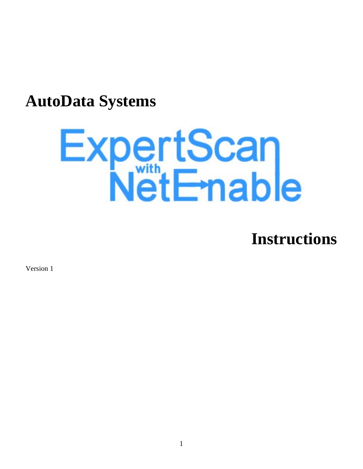# **AutoData Systems**

# ExpertScan<br>NetEnable

**Instructions** 

Version 1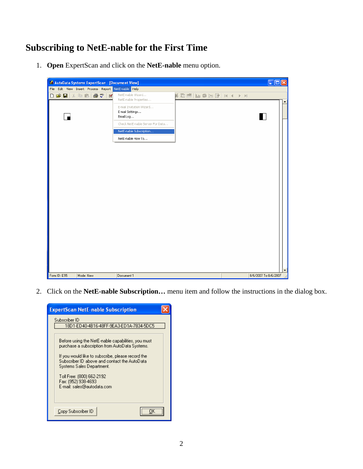# **Subscribing to NetE-nable for the First Time**

1. **Open** ExpertScan and click on the **NetE-nable** menu option.



2. Click on the **NetE-nable Subscription…** menu item and follow the instructions in the dialog box.

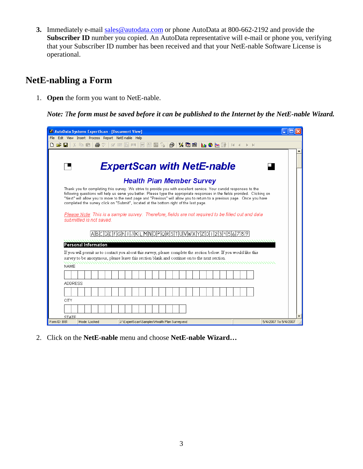**3.** Immediately e-mail sales@autodata.com or phone AutoData at 800-662-2192 and provide the Subscriber ID number you copied. An AutoData representative will e-mail or phone you, verifying that your Subscriber ID number has been received and that your NetE-nable Software License is operational.

## **NetE-nabling a Form**

1. **Open** the form you want to NetE-nable.

*Note: The form must be saved before it can be published to the Internet by the NetE-nable Wizard.* 

| AutoData Systems ExpertScan - [Document View]                                                                                                                                                                                                            |  |
|----------------------------------------------------------------------------------------------------------------------------------------------------------------------------------------------------------------------------------------------------------|--|
| File Edit View Insert Process Report NetE-nable Help                                                                                                                                                                                                     |  |
| ■ ®<br>巨<br>n e H<br><b>HP 百</b><br>$\mathbf{K}$ to be in the $\mathbf{S} \Join \mathbb{R}$<br>$\mathbf{H}$<br>學<br>ø.                                                                                                                                   |  |
|                                                                                                                                                                                                                                                          |  |
|                                                                                                                                                                                                                                                          |  |
| <b>ExpertScan with NetE-nable</b>                                                                                                                                                                                                                        |  |
|                                                                                                                                                                                                                                                          |  |
| <b>Health Plan Member Survey</b>                                                                                                                                                                                                                         |  |
| Thank you for completing this survey. We strive to provide you with excellent service. Your candid responses to the                                                                                                                                      |  |
| following questions will help us serve you better. Please type the appropriate responses in the fields provided. Clicking on<br>"Next" will allow you to move to the next page and "Previous" will allow you to return to a previous page. Once you have |  |
| completed the survey click on "Submit", located at the bottom right of the last page.                                                                                                                                                                    |  |
|                                                                                                                                                                                                                                                          |  |
| Please Note: This is a sample survey. Therefore, fields are not required to be filled out and data<br>submitted is not saved.                                                                                                                            |  |
|                                                                                                                                                                                                                                                          |  |
|                                                                                                                                                                                                                                                          |  |
| ABCDEFGHIJKLMNOPQRSTUVWXYZ0123456789                                                                                                                                                                                                                     |  |
| Personal Information                                                                                                                                                                                                                                     |  |
| If you will permit us to contact you about this survey, please complete the section below. If you would like this                                                                                                                                        |  |
| survey to be anonymous, please leave this section blank and continue on to the next section.                                                                                                                                                             |  |
| <b>NAME</b>                                                                                                                                                                                                                                              |  |
|                                                                                                                                                                                                                                                          |  |
|                                                                                                                                                                                                                                                          |  |
| <b>ADDRESS</b>                                                                                                                                                                                                                                           |  |
|                                                                                                                                                                                                                                                          |  |
| CITY                                                                                                                                                                                                                                                     |  |
|                                                                                                                                                                                                                                                          |  |
|                                                                                                                                                                                                                                                          |  |
| <b>STATE</b><br>Form ID: B81<br>5/4/2007 To 5/4/2007<br>J:\ExpertScan\Samples\Health Plan Survey.esd<br>Mode: Locked                                                                                                                                     |  |

2. Click on the **NetE-nable** menu and choose **NetE-nable Wizard…**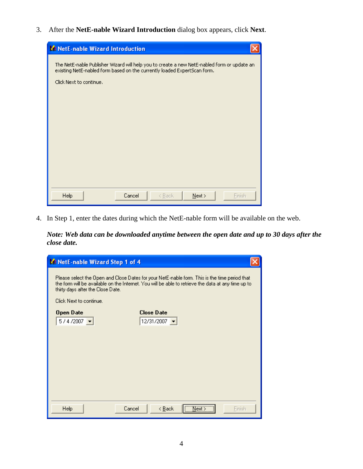3. After the **NetE-nable Wizard Introduction** dialog box appears, click **Next**.

| M NetE-nable Wizard Introduction                                                                                                                                                                   |
|----------------------------------------------------------------------------------------------------------------------------------------------------------------------------------------------------|
| The NetE-nable Publisher Wizard will help you to create a new NetE-nabled form or update an<br>existing NetE-nabled form based on the currently loaded ExpertScan form.<br>Click Next to continue. |
| Help<br>Cancel<br>$N$ ext ><br><b>Finish</b><br>< Back                                                                                                                                             |

4. In Step 1, enter the dates during which the NetE-nable form will be available on the web.

*Note: Web data can be downloaded anytime between the open date and up to 30 days after the close date.* 

| M NetE-nable Wizard Step 1 of 4                                                                                                                                                                                                           |                                                       |  |
|-------------------------------------------------------------------------------------------------------------------------------------------------------------------------------------------------------------------------------------------|-------------------------------------------------------|--|
| Please select the Open and Close Dates for your NetE-nable form. This is the time period that<br>the form will be available on the Internet. You will be able to retrieve the data at any time up to<br>thirty days after the Close Date. |                                                       |  |
| Click Next to continue.                                                                                                                                                                                                                   |                                                       |  |
| Open Date<br>$5/4/2007$ $\rightarrow$                                                                                                                                                                                                     | <b>Close Date</b><br>12/31/2007 $\blacktriangleright$ |  |
|                                                                                                                                                                                                                                           |                                                       |  |
|                                                                                                                                                                                                                                           |                                                       |  |
|                                                                                                                                                                                                                                           |                                                       |  |
|                                                                                                                                                                                                                                           |                                                       |  |
|                                                                                                                                                                                                                                           |                                                       |  |
|                                                                                                                                                                                                                                           |                                                       |  |
|                                                                                                                                                                                                                                           |                                                       |  |
| Help                                                                                                                                                                                                                                      | Next ><br>Cancel<br>< <u>B</u> ack<br>Finish          |  |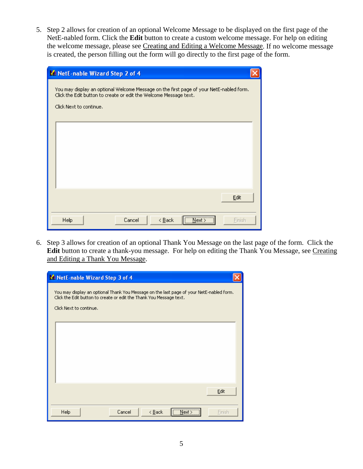5. Step 2 allows for creation of an optional Welcome Message to be displayed on the first page of the NetE-nabled form. Click the **Edit** button to create a custom welcome message. For help on editing the welcome message, please see Creating and Editing a Welcome Message. If no welcome message is created, the person filling out the form will go directly to the first page of the form.

| M NetE-nable Wizard Step 2 of 4                                                                                                                                                         |  |
|-----------------------------------------------------------------------------------------------------------------------------------------------------------------------------------------|--|
| You may display an optional Welcome Message on the first page of your NetE-nabled form.<br>Click the Edit button to create or edit the Welcome Message text.<br>Click Next to continue. |  |
|                                                                                                                                                                                         |  |
|                                                                                                                                                                                         |  |
| Edit                                                                                                                                                                                    |  |
| $N$ ext ><br>Help<br>Cancel<br>$\leq$ Back<br>Finish                                                                                                                                    |  |

6. Step 3 allows for creation of an optional Thank You Message on the last page of the form. Click the **Edit** button to create a thank-you message. For help on editing the Thank You Message, see Creating and Editing a Thank You Message.

| ML NetE-nable Wizard Step 3 of 4                                                         |        |  |
|------------------------------------------------------------------------------------------|--------|--|
| You may display an optional Thank You Message on the last page of your NetE-nabled form. |        |  |
| Click the Edit button to create or edit the Thank You Message text.                      |        |  |
| Click Next to continue.                                                                  |        |  |
|                                                                                          |        |  |
|                                                                                          |        |  |
|                                                                                          |        |  |
|                                                                                          |        |  |
|                                                                                          |        |  |
|                                                                                          |        |  |
|                                                                                          | Edit   |  |
| $N$ ext ><br><b>Help</b><br>Cancel<br>$\leq$ Back                                        | Finish |  |
|                                                                                          |        |  |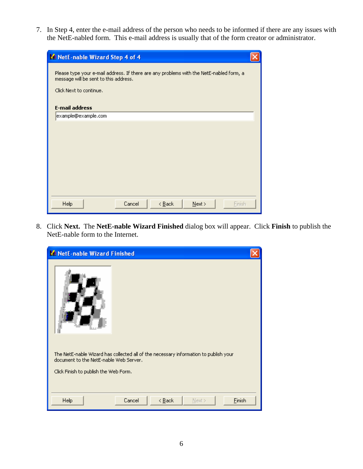7. In Step 4, enter the e-mail address of the person who needs to be informed if there are any issues with the NetE-nabled form. This e-mail address is usually that of the form creator or administrator.

| M NetE-nable Wizard Step 4 of 4                                                                                                                             |  |  |
|-------------------------------------------------------------------------------------------------------------------------------------------------------------|--|--|
| Please type your e-mail address. If there are any problems with the NetE-nabled form, a<br>message will be sent to this address.<br>Click Next to continue. |  |  |
| <b>E-mail address</b>                                                                                                                                       |  |  |
| example@example.com                                                                                                                                         |  |  |
|                                                                                                                                                             |  |  |
|                                                                                                                                                             |  |  |
|                                                                                                                                                             |  |  |
|                                                                                                                                                             |  |  |
|                                                                                                                                                             |  |  |
|                                                                                                                                                             |  |  |
| Help<br>Cancel<br>Finish<br>< <u>B</u> ack<br>$N$ ext >                                                                                                     |  |  |

8. Click **Next.** The **NetE-nable Wizard Finished** dialog box will appear. Click **Finish** to publish the NetE-nable form to the Internet.

| M NetE-nable Wizard Finished                                                                                                   |  |
|--------------------------------------------------------------------------------------------------------------------------------|--|
|                                                                                                                                |  |
| The NetE-nable Wizard has collected all of the necessary information to publish your<br>document to the NetE-nable Web Server. |  |
| Click Finish to publish the Web Form.                                                                                          |  |
|                                                                                                                                |  |
| Help<br>Cancel<br>$\leq$ $\underline{B}$ ack<br>Einish<br>$N$ ext >                                                            |  |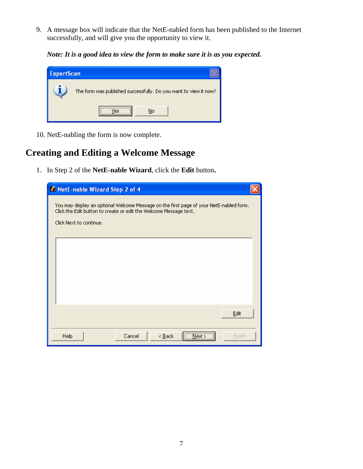9. A message box will indicate that the NetE-nabled form has been published to the Internet successfully, and will give you the opportunity to view it.

*Note: It is a good idea to view the form to make sure it is as you expected.* 

| <b>ExpertScan</b> |                                                                  |
|-------------------|------------------------------------------------------------------|
|                   | The form was published successfully. Do you want to view it now? |
|                   | No                                                               |

10. NetE-nabling the form is now complete.

### **Creating and Editing a Welcome Message**

1. In Step 2 of the **NetE-nable Wizard**, click the **Edit** button**.** 

| M NetE-nable Wizard Step 2 of 4                                                                                                                                                         |        |
|-----------------------------------------------------------------------------------------------------------------------------------------------------------------------------------------|--------|
| You may display an optional Welcome Message on the first page of your NetE-nabled form.<br>Click the Edit button to create or edit the Welcome Message text.<br>Click Next to continue. |        |
|                                                                                                                                                                                         |        |
|                                                                                                                                                                                         |        |
|                                                                                                                                                                                         | Edit   |
| Next ><br>Cancel<br>Help<br>< <u>B</u> ack                                                                                                                                              | Finish |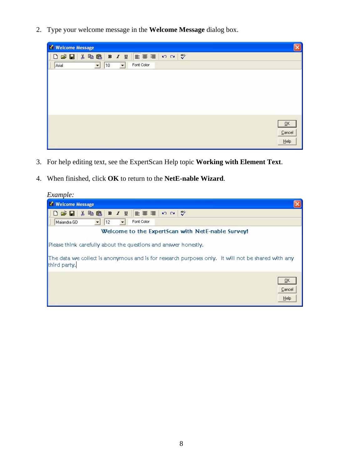2. Type your welcome message in the **Welcome Message** dialog box.

| V Welcome Message                                                                                                                                                      |                                   |
|------------------------------------------------------------------------------------------------------------------------------------------------------------------------|-----------------------------------|
| 医毒毒<br>52<br>$\sqrt[8B]{}$<br>$\begin{array}{c} \square \nabla \cdot \blacksquare \nabla \cdot \blacksquare \nabla \end{array}$<br>$B$ $I$ $\underline{U}$<br>人名尼<br>ı |                                   |
| ı<br>Fort Color<br>$\vert$<br>10<br>$\vert \cdot \vert$<br>Arial                                                                                                       |                                   |
|                                                                                                                                                                        |                                   |
|                                                                                                                                                                        |                                   |
|                                                                                                                                                                        |                                   |
|                                                                                                                                                                        |                                   |
|                                                                                                                                                                        |                                   |
|                                                                                                                                                                        | $\overline{\mathsf{G}}\mathsf{K}$ |
|                                                                                                                                                                        | $C$ ancel                         |
|                                                                                                                                                                        | He                                |

- 3. For help editing text, see the ExpertScan Help topic **Working with Element Text**.
- 4. When finished, click **OK** to return to the **NetE-nable Wizard**.

| Example:                                                                                                                                                                              |
|---------------------------------------------------------------------------------------------------------------------------------------------------------------------------------------|
| <b>V</b> Welcome Message                                                                                                                                                              |
| $\sqrt[36]{}$<br>重要理<br>人名尼<br>$n \alpha$<br>$B$ $I$ $U$<br>$E \times \mathbb{R}$                                                                                                     |
| Font Color<br>$\overline{\phantom{a}}$<br>Maiandra GD<br>12<br>$\overline{\phantom{a}}$                                                                                               |
| Welcome to the ExpertScan with NetE-nable Survey!                                                                                                                                     |
| Please think carefully about the questions and answer honestly.<br>The data we collect is anonymous and is for research purposes only. It will not be shared with any<br>third party. |
| QK<br>Cancel<br>Help                                                                                                                                                                  |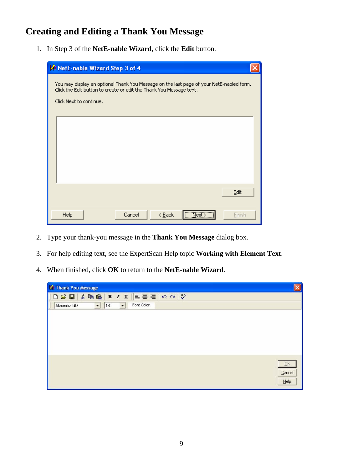# **Creating and Editing a Thank You Message**

1. In Step 3 of the **NetE-nable Wizard**, click the **Edit** button.

| M NetE-nable Wizard Step 3 of 4                                                                                                                                                            |                     |
|--------------------------------------------------------------------------------------------------------------------------------------------------------------------------------------------|---------------------|
| You may display an optional Thank You Message on the last page of your NetE-nabled form.<br>Click the Edit button to create or edit the Thank You Message text.<br>Click Next to continue. |                     |
|                                                                                                                                                                                            |                     |
|                                                                                                                                                                                            |                     |
|                                                                                                                                                                                            | Edit                |
| Cancel<br>Help<br>$\leq$ Back                                                                                                                                                              | $N$ ext ><br>Finish |

- 2. Type your thank-you message in the **Thank You Message** dialog box.
- 3. For help editing text, see the ExpertScan Help topic **Working with Element Text**.
- 4. When finished, click **OK** to return to the **NetE-nable Wizard**.

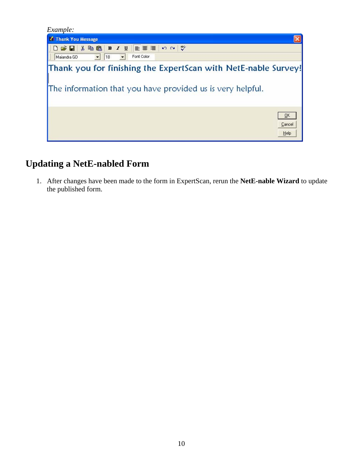| Example:                                                                                                                     |                             |
|------------------------------------------------------------------------------------------------------------------------------|-----------------------------|
| Thank You Message                                                                                                            |                             |
| $\frac{100}{20}$ CM<br>主要理 <br>人名尼<br>$B$ $I$ $U$<br>$D \ncong H$                                                            |                             |
| Font Color<br>$\overline{ }$<br>Maiandra GD<br> 18<br>$\overline{\phantom{a}}$                                               |                             |
| Thank you for finishing the ExpertScan with NetE-nable Survey!<br>The information that you have provided us is very helpful. |                             |
|                                                                                                                              | <u>ok</u><br>Cancel<br>Help |

# **Updating a NetE-nabled Form**

1. After changes have been made to the form in ExpertScan, rerun the **NetE-nable Wizard** to update the published form.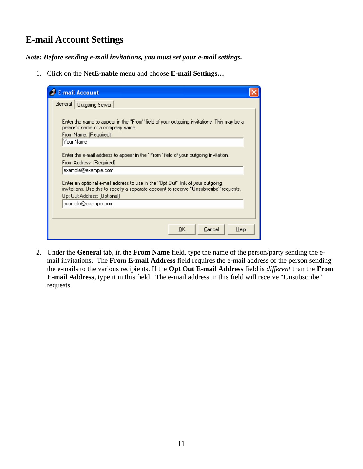# **E-mail Account Settings**

*Note: Before sending e-mail invitations, you must set your e-mail settings.*

1. Click on the **NetE-nable** menu and choose **E-mail Settings…**

| <b>B</b> E-mail Account                                                                                                                                                                                    |
|------------------------------------------------------------------------------------------------------------------------------------------------------------------------------------------------------------|
| General   Outgoing Server                                                                                                                                                                                  |
| Enter the name to appear in the "From" field of your outgoing invitations. This may be a<br>person's name or a company name.<br>From Name: (Required)                                                      |
| Your Name                                                                                                                                                                                                  |
| Enter the e-mail address to appear in the "From" field of your outgoing invitation.<br>From Address: (Required)                                                                                            |
| example@example.com                                                                                                                                                                                        |
| Enter an optional e-mail address to use in the ''Opt Out'' link of your outgoing<br>invitations. Use this to specify a separate account to receive "Unsubscribe" requests.<br>Opt Out Address: (Optional). |
| example@example.com                                                                                                                                                                                        |
|                                                                                                                                                                                                            |
| ŌΚ<br>Cancel<br>Help                                                                                                                                                                                       |

2. Under the **General** tab, in the **From Name** field, type the name of the person/party sending the email invitations. The **From E-mail Address** field requires the e-mail address of the person sending the e-mails to the various recipients. If the **Opt Out E-mail Address** field is *different* than the **From E-mail Address,** type it in this field. The e-mail address in this field will receive "Unsubscribe" requests.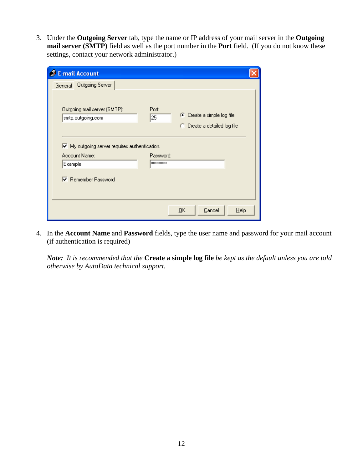3. Under the **Outgoing Server** tab, type the name or IP address of your mail server in the **Outgoing mail server (SMTP)** field as well as the port number in the **Port** field. (If you do not know these settings, contact your network administrator.)

| <b>E-mail Account</b>                                             |                  |                              |      |
|-------------------------------------------------------------------|------------------|------------------------------|------|
| General Outgoing Server                                           |                  |                              |      |
|                                                                   |                  |                              |      |
| Outgoing mail server (SMTP):                                      | Port:            |                              |      |
| smtp.outgoing.com                                                 | $\overline{25}$  | C Create a simple log file   |      |
|                                                                   |                  | C Create a detailed log file |      |
|                                                                   |                  |                              |      |
| $\blacktriangleright$ My outgoing server requires authentication. |                  |                              |      |
| Account Name:                                                     | Password:        |                              |      |
| Example                                                           | <b>xxxxxxxxx</b> |                              |      |
| Remember Password                                                 |                  |                              |      |
|                                                                   |                  | Cancel<br>QK                 | Help |

4. In the **Account Name** and **Password** fields, type the user name and password for your mail account (if authentication is required)

*Note: It is recommended that the* **Create a simple log file** *be kept as the default unless you are told otherwise by AutoData technical support.*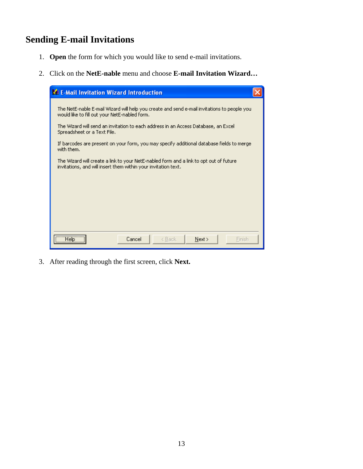# **Sending E-mail Invitations**

- 1. **Open** the form for which you would like to send e-mail invitations.
- 2. Click on the **NetE-nable** menu and choose **E-mail Invitation Wizard…**

| <b>W</b> E-Mail Invitation Wizard Introduction                                                                                                           |  |  |
|----------------------------------------------------------------------------------------------------------------------------------------------------------|--|--|
| The NetE-nable E-mail Wizard will help you create and send e-mail invitations to people you.<br>would like to fill out your NetE-nabled form.            |  |  |
| The Wizard will send an invitation to each address in an Access Database, an Excel<br>Spreadsheet or a Text File.                                        |  |  |
| If barcodes are present on your form, you may specify additional database fields to merge<br>with them.                                                  |  |  |
| The Wizard will create a link to your NetE-nabled form and a link to opt out of future<br>invitations, and will insert them within your invitation text. |  |  |
|                                                                                                                                                          |  |  |
|                                                                                                                                                          |  |  |
|                                                                                                                                                          |  |  |
| <b>Help</b><br>Cancel<br>Next<br>Finish<br>< Back                                                                                                        |  |  |
|                                                                                                                                                          |  |  |

3. After reading through the first screen, click **Next.**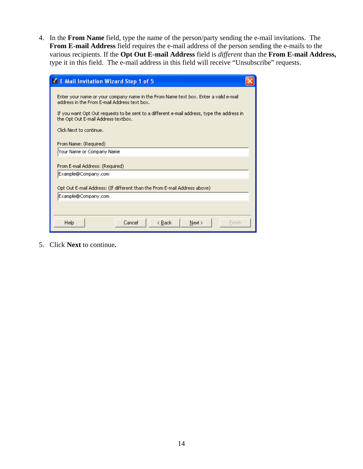4. In the **From Name** field, type the name of the person/party sending the e-mail invitations. The **From E-mail Address** field requires the e-mail address of the person sending the e-mails to the various recipients. If the **Opt Out E-mail Address** field is *different* than the **From E-mail Address,**  type it in this field. The e-mail address in this field will receive "Unsubscribe" requests.

| E-Mail Invitation Wizard Step 1 of 5                                                                                                                                                                                                                                                                 |
|------------------------------------------------------------------------------------------------------------------------------------------------------------------------------------------------------------------------------------------------------------------------------------------------------|
| Enter your name or your company name in the From Name text box. Enter a valid e-mail<br>address in the From E-mail Address text box.<br>If you want Opt Out requests to be sent to a different e-mail address, type the address in<br>the Opt Out E-mail Address textbox.<br>Click Next to continue. |
| From Name: (Required)                                                                                                                                                                                                                                                                                |
| Your Name or Company Name                                                                                                                                                                                                                                                                            |
| From E-mail Address: (Required)                                                                                                                                                                                                                                                                      |
| Example@Company.com                                                                                                                                                                                                                                                                                  |
| Opt Out E-mail Address: (If different than the From E-mail Address above).                                                                                                                                                                                                                           |
| Example@Company.com                                                                                                                                                                                                                                                                                  |
|                                                                                                                                                                                                                                                                                                      |
| Help<br>Cancel<br>< Back<br>Next ><br>Finish                                                                                                                                                                                                                                                         |

5. Click **Next** to continue**.**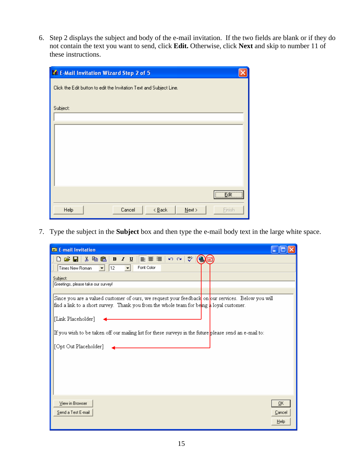6. Step 2 displays the subject and body of the e-mail invitation. If the two fields are blank or if they do not contain the text you want to send, click **Edit.** Otherwise, click **Next** and skip to number 11 of these instructions.

| E-Mail Invitation Wizard Step 2 of 5                                |
|---------------------------------------------------------------------|
| Click the Edit button to edit the Invitation Text and Subject Line. |
|                                                                     |
| Subject:                                                            |
|                                                                     |
|                                                                     |
|                                                                     |
|                                                                     |
|                                                                     |
|                                                                     |
| <u>Edit – </u>                                                      |
| Help<br>Cancel<br>$\leq$ Back<br>$N$ ext ><br>Einish                |

7. Type the subject in the **Subject** box and then type the e-mail body text in the large white space.

| E-mail Invitation                                                                                                                                                                                         |  |
|-----------------------------------------------------------------------------------------------------------------------------------------------------------------------------------------------------------|--|
| ᢟ<br>$\approx$ H                                                                                                                                                                                          |  |
| Font Color<br>Times New Roman<br>12<br>$\overline{\phantom{a}}$<br>$\blacktriangledown$                                                                                                                   |  |
| Subject:                                                                                                                                                                                                  |  |
| Greetings, please take our survey!                                                                                                                                                                        |  |
| Since you are a valued customer of ours, we request your feedback on our services. Below you will<br>find a link to a short survey. Thank you from the whole team for being $\frac{1}{k}$ loyal customer. |  |
| [Link Placeholder]                                                                                                                                                                                        |  |
| If you wish to be taken off our mailing list for these surveys in the future please send an e-mail to:                                                                                                    |  |
| [Opt Out Placeholder]                                                                                                                                                                                     |  |
|                                                                                                                                                                                                           |  |
|                                                                                                                                                                                                           |  |
|                                                                                                                                                                                                           |  |
|                                                                                                                                                                                                           |  |
| View in Browser<br>ΟK                                                                                                                                                                                     |  |
| Send a Test E-mail<br>Cancel                                                                                                                                                                              |  |
| Help                                                                                                                                                                                                      |  |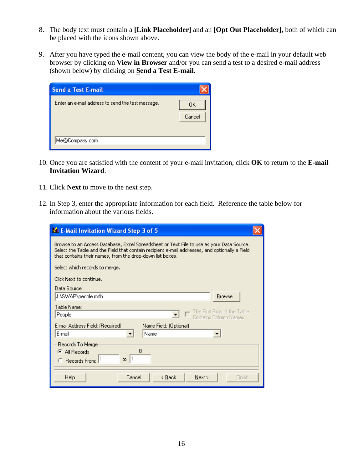- 8. The body text must contain a **[Link Placeholder]** and an **[Opt Out Placeholder],** both of which can be placed with the icons shown above.
- 9. After you have typed the e-mail content, you can view the body of the e-mail in your default web browser by clicking on **View in Browser** and/or you can send a test to a desired e-mail address (shown below) by clicking on **Send a Test E-mail.**

| <b>Send a Test E-mail</b>                         |               |
|---------------------------------------------------|---------------|
| Enter an e-mail address to send the test message. | 0K.<br>Cancel |
| Me@Company.com                                    |               |

- 10. Once you are satisfied with the content of your e-mail invitation, click **OK** to return to the **E-mail Invitation Wizard**.
- 11. Click **Next** to move to the next step.
- 12. In Step 3, enter the appropriate information for each field. Reference the table below for information about the various fields.

| E-Mail Invitation Wizard Step 3 of 5                                                                                                                                                                                                                    |  |  |
|---------------------------------------------------------------------------------------------------------------------------------------------------------------------------------------------------------------------------------------------------------|--|--|
| Browse to an Access Database, Excel Spreadsheet or Text File to use as your Data Source.<br>Select the Table and the Field that contain recipient e-mail addresses, and optionally a Field<br>that contains their names, from the drop-down list boxes. |  |  |
| Select which records to merge.                                                                                                                                                                                                                          |  |  |
| Click Next to continue.                                                                                                                                                                                                                                 |  |  |
| Data Source:                                                                                                                                                                                                                                            |  |  |
| J:\SWAP\people.mdb<br>Browse                                                                                                                                                                                                                            |  |  |
| Table Name:<br>The First Row of the Table<br>People<br>Contains Column Names                                                                                                                                                                            |  |  |
| E-mail Address Field: (Required).<br>Name Field: (Optional)<br>E-mail<br>Name                                                                                                                                                                           |  |  |
| Records To Merge<br>8<br>$\bullet$ All Records<br>to $ 1$<br>C Records From:                                                                                                                                                                            |  |  |
| Help<br>Cancel<br>< <u>B</u> ack<br>Next<br>Finish                                                                                                                                                                                                      |  |  |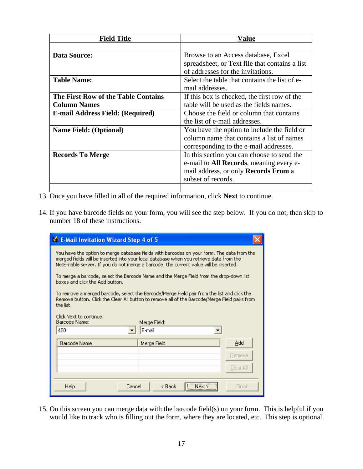| <b>Field Title</b>                      | Value                                           |
|-----------------------------------------|-------------------------------------------------|
|                                         |                                                 |
| <b>Data Source:</b>                     | Browse to an Access database, Excel             |
|                                         | spreadsheet, or Text file that contains a list  |
|                                         | of addresses for the invitations.               |
| <b>Table Name:</b>                      | Select the table that contains the list of e-   |
|                                         | mail addresses.                                 |
| The First Row of the Table Contains     | If this box is checked, the first row of the    |
| <b>Column Names</b>                     | table will be used as the fields names.         |
| <b>E-mail Address Field: (Required)</b> | Choose the field or column that contains        |
|                                         | the list of e-mail addresses.                   |
| <b>Name Field: (Optional)</b>           | You have the option to include the field or     |
|                                         | column name that contains a list of names       |
|                                         | corresponding to the e-mail addresses.          |
| <b>Records To Merge</b>                 | In this section you can choose to send the      |
|                                         | e-mail to <b>All Records</b> , meaning every e- |
|                                         | mail address, or only <b>Records From</b> a     |
|                                         | subset of records.                              |
|                                         |                                                 |

- 13. Once you have filled in all of the required information, click **Next** to continue.
- 14. If you have barcode fields on your form, you will see the step below. If you do not, then skip to number 18 of these instructions.

| La E-Mail Invitation Wizard Step 4 of 5                                                                                                                                                                                                                                        |           |  |
|--------------------------------------------------------------------------------------------------------------------------------------------------------------------------------------------------------------------------------------------------------------------------------|-----------|--|
| You have the option to merge database fields with barcodes on your form. The data from the<br>merged fields will be inserted into your local database when you retrieve data from the<br>NetE-nable server. If you do not merge a barcode, the current value will be inserted. |           |  |
| To merge a barcode, select the Barcode Name and the Merge Field from the drop-down list<br>boxes and click the Add button.                                                                                                                                                     |           |  |
| To remove a merged barcode, select the Barcode/Merge Field pair from the list and click the<br>Remove button. Click the Clear All button to remove all of the Barcode/Merge Field pairs from<br>the list.                                                                      |           |  |
| Click Next to continue.<br>Barcode Name:<br>Merge Field:<br>400<br>E-mail                                                                                                                                                                                                      |           |  |
| <b>Barcode Name</b><br>Merge Field                                                                                                                                                                                                                                             | Add       |  |
|                                                                                                                                                                                                                                                                                | Remove    |  |
|                                                                                                                                                                                                                                                                                | Clear All |  |
| $N$ ext $>$<br>Cancel<br>Help<br>< Back                                                                                                                                                                                                                                        | Finish    |  |

15. On this screen you can merge data with the barcode field(s) on your form. This is helpful if you would like to track who is filling out the form, where they are located, etc. This step is optional.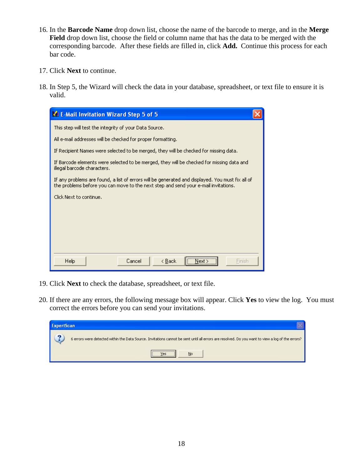- 16. In the **Barcode Name** drop down list, choose the name of the barcode to merge, and in the **Merge Field** drop down list, choose the field or column name that has the data to be merged with the corresponding barcode. After these fields are filled in, click **Add.** Continue this process for each bar code.
- 17. Click **Next** to continue.
- 18. In Step 5, the Wizard will check the data in your database, spreadsheet, or text file to ensure it is valid.



- 19. Click **Next** to check the database, spreadsheet, or text file.
- 20. If there are any errors, the following message box will appear. Click **Yes** to view the log. You must correct the errors before you can send your invitations.

| <b>ExpertScan</b> |                                                                                                                                                         |
|-------------------|---------------------------------------------------------------------------------------------------------------------------------------------------------|
|                   | 6 errors were detected within the Data Source. Invitations cannot be sent until all errors are resolved. Do you want to view a log of the errors?<br>No |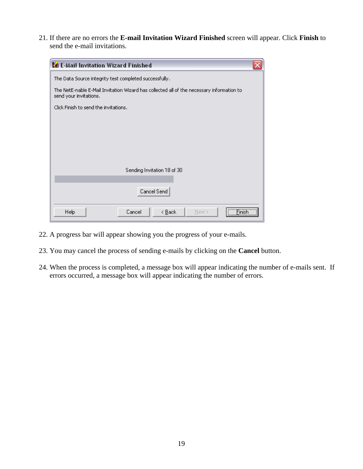21. If there are no errors the **E-mail Invitation Wizard Finished** screen will appear. Click **Finish** to send the e-mail invitations.

| <b>Kg</b> E-Mail Invitation Wizard Finished                                                                         | x |  |  |  |
|---------------------------------------------------------------------------------------------------------------------|---|--|--|--|
| The Data Source integrity test completed successfully.                                                              |   |  |  |  |
| The NetE-nable E-Mail Invitation Wizard has collected all of the necessary information to<br>send your invitations. |   |  |  |  |
| Click Finish to send the invitations.                                                                               |   |  |  |  |
|                                                                                                                     |   |  |  |  |
|                                                                                                                     |   |  |  |  |
|                                                                                                                     |   |  |  |  |
|                                                                                                                     |   |  |  |  |
|                                                                                                                     |   |  |  |  |
| Sending Invitation 18 of 30                                                                                         |   |  |  |  |
|                                                                                                                     |   |  |  |  |
| Cancel Send                                                                                                         |   |  |  |  |
| Finish <sup>11</sup><br><b>Help</b><br>Cancel<br>< <u>B</u> ack<br>Next >                                           |   |  |  |  |

- 22. A progress bar will appear showing you the progress of your e-mails.
- 23. You may cancel the process of sending e-mails by clicking on the **Cancel** button.
- 24. When the process is completed, a message box will appear indicating the number of e-mails sent. If errors occurred, a message box will appear indicating the number of errors.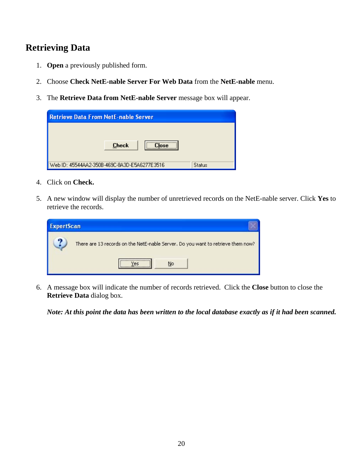#### **Retrieving Data**

- 1. **Open** a previously published form.
- 2. Choose **Check NetE-nable Server For Web Data** from the **NetE-nable** menu.
- 3. The **Retrieve Data from NetE-nable Server** message box will appear.

| <b>Retrieve Data From NetE-nable Server</b>                   |  |  |  |  |
|---------------------------------------------------------------|--|--|--|--|
| <br><b>Check</b><br>:Inse                                     |  |  |  |  |
| Web ID: 45544AA2-350B-469C-8A3D-E5A6277E3516<br><b>Status</b> |  |  |  |  |

- 4. Click on **Check.**
- 5. A new window will display the number of unretrieved records on the NetE-nable server. Click **Yes** to retrieve the records.

| <b>ExpertScan</b> |                                                                                  |
|-------------------|----------------------------------------------------------------------------------|
| റ                 | There are 13 records on the NetE-nable Server. Do you want to retrieve them now? |
|                   | No                                                                               |

6. A message box will indicate the number of records retrieved. Click the **Close** button to close the **Retrieve Data** dialog box.

*Note: At this point the data has been written to the local database exactly as if it had been scanned.*